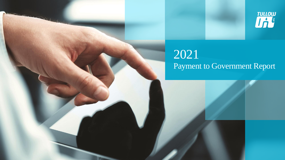



# 2021 Payment to Government Report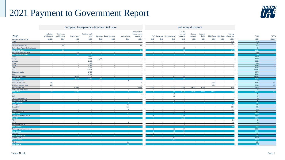### 2021 Payment to Government Report



#### European transparency directive disclosure **European transparency directive disclosure** Voluntary disclosure

|                                      | Production      | Production      |                 | Royalties (cash |                 |                          |                 | Infrastructure<br>improvement |                      |                |                                | PAYE &<br>national      | Carried         | Customs        |                |                                   | Training |                  |                 |
|--------------------------------------|-----------------|-----------------|-----------------|-----------------|-----------------|--------------------------|-----------------|-------------------------------|----------------------|----------------|--------------------------------|-------------------------|-----------------|----------------|----------------|-----------------------------------|----------|------------------|-----------------|
| 2021                                 | entitlements    | entitlements    | Income taxes    | only)           |                 | Dividends Bonus payments | Licence fee's   | payments                      |                      |                | VAT Stamp duty Withholding tax | insurance               | interests       | duties         |                | MGO Taxes  R&D Credit  allowances |          | <b>TOTAL</b>     | <b>TOTAL</b>    |
| Licence / Company level              | <b>BBL000</b>   | \$000           | \$000           | \$000           | \$000           | \$000                    | \$000           | \$000                         | \$000                | \$000          | \$000                          | \$000                   | \$000           | \$000          | \$000          | \$000                             | \$000    | \$000            | <b>BBL000</b>   |
| $CI-520$                             | <b>College</b>  | $\sim$          | <b>College</b>  | $\sim$          | $\sim$          | <b>College</b>           | <b>College</b>  | $\sim$                        | $\sim$               | $\sim$         | <b>College</b>                 | $\sim$                  | $\sim$          | $\sim$         | $\sim$         | $\sim$                            | 300      | 300              | <b>Contract</b> |
| $CI-524$                             | $\sim$          | $\sim$          | $\sim$          | $\sim$          | $\sim$          | $\sim$                   | $\sim$          | $\sim$                        | $\sim$               | $\sim$         | $\sim$                         | $\sim$                  | $\sim$          | $\sim$         | $\sim$         | $\sim$ $-$                        | 375      | 375              |                 |
| C1-26 Special Area "E"               | $\sim$          | 928             | $\sim$          | $\sim$ $-$      | $\sim$          | $\sim$                   | $\sim$ $-$      | 30                            | $\sim$               | $\sim$         | $\sim$                         | $\sim$                  | $\sim$          | $\sim$         | $\sim$         | $\sim$                            |          | 958              |                 |
| Tullow Cote d'Ivoire Exploration Ltd | $\sim$          | $\sim$          | $\sim$          | $\sim$          | $\sim$          | $\sim$                   | $\sim$          | $\sim$                        | $\sim$               | $\sim$         | $\sim$                         | 20                      | $\sim$          | $\sim$         | $\sim$         | $\sim$                            |          | 20               |                 |
| <b>Total Cote d'Ivoire</b>           |                 | 928             |                 |                 |                 |                          |                 | 30                            |                      |                |                                | $20-1$                  |                 |                |                |                                   | 675      | 1,653            |                 |
| <b>Tullow Equatorial Guinea Ltd</b>  | $\sim$          | $\sim$          | 750             | $\sim$          | $\sim$          |                          | $\sim$          |                               | $\sim$               | $\sim$         | $\sim$                         |                         | $\sim$          | $\sim$         | $\sim$         | $\sim$                            |          | 750              |                 |
| <b>Total Equatorial Guinea</b>       |                 |                 | 750             |                 |                 |                          |                 |                               |                      |                |                                |                         |                 |                |                |                                   |          | 750              |                 |
| Echira                               | <b>Contract</b> | <b>Contract</b> | <b>Contract</b> | 3,560           | $\sim$          | <b>Contract</b>          | <b>Contract</b> |                               | <b>Contract</b>      | $\sim$         | <b>Contract</b>                | <b>Contract</b>         | <b>College</b>  | <b>College</b> | <b>Section</b> | <b>Contract</b>                   |          | 3,560            |                 |
| <b>Ezanga</b>                        | <b>College</b>  | $\sim$          | $\sim 100$      | 4,064           | 2,975           | $\sim$                   | <b>College</b>  |                               | $\sim$               | $\sim$         | <b>College</b>                 | $\sim$                  | $\sim$          | $\sim$         | $\sim$         | $\sim$                            |          | 1,090            |                 |
| Limande                              | $\sim$          | $\sim$          | $\sim$          | 2,868           | $\sim$          | $\sim$                   | $\sim$ $-$      |                               | $\sim$               | $\sim$         | $\sim$                         | $\sim$                  | $\sim$          | $\sim$         | $\sim$         | $\sim$ $-$                        |          | 2,868            |                 |
| M'Oba                                | <b>College</b>  |                 | $\sim$          | 118             | $\sim$          | <b>Section</b>           | $\sim$          |                               | $\sim$               | $\sim$         | <b>College</b>                 | $\sim$                  | $\sim$          | ÷              | $\sim$         | $\sim$                            |          | 118              |                 |
| Niungo                               | <b>Section</b>  | $\sim$          | $\sim$          | 3,395           | $\sim$          | <b>College</b>           | $\sim 10^{-1}$  | $\sim$                        | $\sim$               | $\sim$         | <b>College</b>                 | $\sim$                  | <b>Section</b>  | $\sim$         | $\sim$         | <b>Section</b>                    |          | 3,395            |                 |
| Oba                                  | $\sim$          | $\sim$          | $\sim$          | 1.395           | $\sim$          | $\sim$                   | $\sim$          |                               | $\sim$               | $\sim$         | $\sim$                         | $\sim$                  | $\sim$          | $\sim$         | $\sim$         | $\sim$                            |          | 1.395            |                 |
| Simba                                | $\sim$          | $\sim$          | $\sim$          | 13,824          | $\sim$          | $\sim$                   | $\sim$          | $\sim$                        | $\sim$               | $\sim$         | $\sim$                         | $\sim$                  | $\sim$          | $\sim$         | <b>College</b> | <b>Section</b>                    |          | 13.824           |                 |
| <b>Tchatamba Marin</b>               | $\sim$          |                 | $\sim$          | 8,776           | $\sim$          | $\sim$                   | $\sim$          |                               | $\sim$               | $\sim$         | $\sim$                         | $\sim$                  | $\sim$          | $\sim$         | $\sim$         | $\sim$                            |          | 8,776            |                 |
| Turnix                               | <b>College</b>  | $\sim$          | $\sim$          | 1,714           | <b>College</b>  | <b>Section</b>           | <b>College</b>  |                               | $\sim$               | $\sim$         | <b>College</b>                 | $\sim$                  | $\sim$          | $\sim$         | <b>College</b> | $\sim$                            |          | 1,714            |                 |
| <b>Tullow Oil Gabon SA</b>           | $\sim$          | $\sim$          | 38,427          | $\sim 10$       | $\sim$ $-$      | <b>College</b>           | $\sim 10^{-1}$  |                               | $\sim$ $-$           | $\sim$         | 42                             | 95                      | <b>College</b>  | $\sim$         | <b>COL</b>     | $\sim$ $-$                        |          | 38,564           |                 |
| <b>Total Gabon</b>                   |                 |                 | 38.427          | 31.586          | 2.975           |                          |                 |                               |                      |                | 42 <sup>7</sup>                | -95                     |                 |                |                |                                   |          | 73.125           |                 |
| Deep Water Tano                      | $\sim$ $-$      | $\sim$ $-$      | $\sim$ $-$      | $\sim$ $-$      | $\sim$          | $\sim 10^{-1}$           | 59              |                               | $\sim$ $-$           | $\sim$         | $\sim$                         | $\sim$                  | $\sim$          | $\sim$         | $\sim$         | $\sim$ $-$                        |          | 59               |                 |
| Jubilee Field Unit Area              | 485             | $\sim$          | $\sim$          | $\sim$ $-$      | $\sim$          | $\sim$                   | <b>Contract</b> | $\overline{0}$                | $\sim$               | $\sim$         | $\sim$                         | $\sim$                  | $\sim$          | $\sim$         | 4,646          | $\sim$ $-$                        |          | 4,646            | 485             |
| <b>TEN Development Area</b>          | 283             | $\sim$          | $\sim$          | $\sim$          | $\sim$          | $\sim$                   | $\sim$          | $\overline{2}$                | $\sim$               | $\sim$         | $\sim$                         | $\sim$                  | $\sim$          | $\sim$         | 5,913          | $\sim$                            |          | 5,915            | 283             |
| Tullow Ghana Ltd.                    | $\sim$          | $\sim$ $-$      | 43,446          | $\sim$          | $\sim$          | $\sim$                   | $\sim$          | 2,716                         | 3,316                | $\sim$         | 37,158                         | 9,871                   | 14,987          | 1,530          | $\sim$         | $\sim$                            | 250      | 113,275          |                 |
| <b>West Cape Three Points</b>        | $\sim$          |                 |                 | $\sim$          | $\sim$          | $\sim$                   | 18              | $\sim$                        | - 14                 | $\sim$         |                                |                         |                 | $\sim$         | $\sim$         | $\sim$                            |          | 18               |                 |
| <b>Total Ghana</b>                   | 767             |                 | 43,446          |                 |                 |                          | 78              | 2,718                         | 3,316                |                | 37.158                         | 9,871                   | 14,987          | 1,530          | 10.559         |                                   | 250      | 123,914          | 767             |
| <b>Banda</b>                         | <b>College</b>  | <b>Contract</b> | $\sim$          | <b>College</b>  | <b>College</b>  | <b>College</b>           | <b>College</b>  | <b>College</b>                | $\sqrt{ }$<br>$\sim$ | <b>Section</b> | 46                             | $\sim$                  | $\sim$          | $\sim$         | $\sim$         | <b>Contract</b>                   |          | 46               | <b>College</b>  |
| Tiof                                 | $\sim$          | $\sim$          | $\sim$          | $\sim$          | $\sim$          | <b>College</b>           | $\sim$          | $\sim$                        | $\sim$               | $\sim$         | 27                             | $\sim$                  | <b>College</b>  | $\sim$         | $\sim$         | $\sim$ $-$                        |          | 27               |                 |
| PSC B (Chinguetti EEA)               | $\sim$          | $\sim$          | $\sim$          | $\sim$ $-$      | $\sim$          | $\sim$                   | 35              | $\sim$                        | $\sim$ $-$           | $\sim$         | $\sim$                         | $\sim$                  | $\sim$          | $\sim$         | $\sim$         | <b>College</b>                    |          | 35               |                 |
| <b>Tullow Mauritania Ltd</b>         | <b>College</b>  |                 | $\sim$          | $\sim$          | $\sim$          | $\sim$                   | $\sim$          |                               | $\sim$               | $\sim$         | 19                             | 12                      | $\sim$          | $\overline{2}$ | $\sim$         | <b>Contract</b>                   |          | 34               |                 |
| <b>Total Mauritania</b>              |                 |                 |                 |                 |                 |                          | 35              |                               |                      |                | 92                             | 12 <sup>°</sup>         |                 |                |                |                                   |          | 142              |                 |
| <b>Block 10BA</b>                    | $\sim$          | $\sim$          | $\sim$          | $\sim$          | $\sim$          | $\sim$                   | 231             | $\sim$                        | $\sim$               | $\sim$         | $\sim$                         | $\sim$                  | $\sim$          | $\sim$         | $\sim$         | $\sim$                            | 75       | 306              |                 |
| <b>Block 10BB</b>                    | <b>College</b>  | $\sim$          | $\sim$          | $\sim$          | <b>College</b>  | $\sim$                   | 116             |                               | <b>Section</b>       | $\sim$         | <b>College</b>                 | <b>Section</b>          | <b>College</b>  | $\sim$         | $\sim$         | <b>Contract</b>                   | 625      | 741              |                 |
| <b>Block 13T</b>                     | $\sim$          | $\sim$          | <b>Section</b>  | $\sim$          | $\sim$          | $\sim$                   | 24              |                               | $\sim$               | $\sim$         | $\sim$                         | $\sim$                  | $\sim$          | $\sim$         | <b>College</b> | <b>Section</b>                    | 81       | 105              |                 |
| Tullow Kenya B.V.                    | $\sim$          | $\sim$          | $\sim$ $-$      | $\sim$ $-$      | $\sim$          | $\sim$                   | $\sim 10^{-1}$  |                               | $\sim$               | $\sim$         | 153                            | 314                     | <b>College</b>  | $\sim$         | <b>COL</b>     | $\sim$ $-$                        |          | 467              |                 |
| <b>Total Kenva</b>                   |                 |                 |                 |                 |                 |                          | 371             |                               |                      |                | 153                            | 314                     |                 |                |                |                                   |          | 1.619            |                 |
| Tullow South Africa Pty Ltd          | $\sim 10^{-1}$  | $\sim$          | $\sim$ $-$      | $\sim$ $-$      | $\sim 10^{-1}$  | $\sim 10^{-1}$           | $\sim 10^{-11}$ | $\sim$ $-$                    | 44                   | $\sim$ $-$     | $\sim 10^{-1}$                 | 2,556                   | $\sim 10^{-11}$ | $\sim$         | $\sim$         | $\sim 10^{-1}$                    |          | 2,512            |                 |
| <b>Total SA</b>                      |                 |                 |                 |                 |                 |                          |                 |                               | 44                   |                |                                | 2,556                   |                 |                |                |                                   |          | 2,512            |                 |
| <b>PEL 37</b>                        | <b>Contract</b> | $\sim$          | $\sim$          | $\sim$          | $\sim$          | $\sim$                   | <b>College</b>  | $\sim$                        | $\sim$               | $\sim$         | $\sim$                         | $\sim$                  | $\sim$          | $\sim$         | $\sim$         | $\sim$                            | 20       | 20               |                 |
| <b>PEL 90</b>                        | $\sim$          | $\sim$          | $\sim$          | $\sim$          | <b>College</b>  | <b>College</b>           | 24              |                               | $\sim$               | $\sim$         | $\sim$                         | $\sim$                  | <b>Section</b>  | $\sim$         | <b>College</b> | $\sim$                            | 60       | 84               |                 |
| <b>Tullow Namibia Ltd</b>            |                 |                 |                 |                 |                 |                          | $\sim$          |                               |                      |                |                                | $\overline{\mathbf{3}}$ |                 |                | $\sim$         | $\sim$                            |          | $\overline{z}$   |                 |
| <b>Total Namibia</b>                 |                 |                 |                 |                 |                 |                          | 24              |                               |                      |                |                                |                         |                 |                |                |                                   | 80       | 107              |                 |
| <b>Tullow Uganda Operation Pty</b>   | <b>College</b>  | $\sim$          | <b>College</b>  | <b>College</b>  | <b>College</b>  | <b>College</b>           | <b>College</b>  | $\sim$                        | $\overline{1}$       | $\sim$         | 867                            | 694                     | $\sim$          | $\sim$         | <b>College</b> | <b>Contract</b>                   |          | 1,562            |                 |
| <b>Total Uganda</b>                  |                 |                 |                 |                 |                 |                          |                 |                               |                      |                | 867                            | 694                     |                 |                |                |                                   |          | 1.562            |                 |
| <b>Block 2 &amp; 5</b>               | $\sim$          | $\sim$          | $\sim$          | $\sim$          | $\sim$          | $\sim$                   | $\sim$          | $\sim$                        | 377                  | $\sim$         | <b>Contract</b>                | $\sim$                  | $\sim$          | $\sim$         | $\sim$         | $\sim$                            |          | 377              |                 |
| <b>Total Mozambique</b>              |                 |                 |                 |                 |                 |                          |                 |                               | 377                  |                |                                |                         |                 |                |                |                                   |          | 377              |                 |
| Block 35, 36 & 37                    | <b>College</b>  | $\sim$          | $\sim$          | <b>Contract</b> | $\sim$          | <b>Section</b>           | $\sim$ $-$      | $\sim$                        | $\sim$               | $\sim$         | 1,100                          | $\sim$                  | $\sim$          | <b>Section</b> | $\sim$         | $\sim$                            |          | 1,100            |                 |
| <b>Total Comoros</b>                 |                 |                 |                 |                 |                 |                          |                 |                               |                      |                | 1,100                          |                         |                 |                |                |                                   |          | 1,100            |                 |
| <b>PEL-28</b>                        | <b>Contract</b> | $\sim 10^{-1}$  | <b>Contract</b> | <b>College</b>  | <b>Contract</b> | <b>Section</b>           | 100             |                               | <b>Contract</b>      | $\sim$         | <b>Contract</b>                | <b>College</b>          | <b>College</b>  | $\sim$         | $\sim$         | $\sim$ $-$                        |          | 100              |                 |
| <b>Total Zambia</b>                  |                 |                 |                 |                 |                 |                          | 100             |                               |                      |                |                                |                         |                 |                |                |                                   |          | 100 <sub>1</sub> |                 |